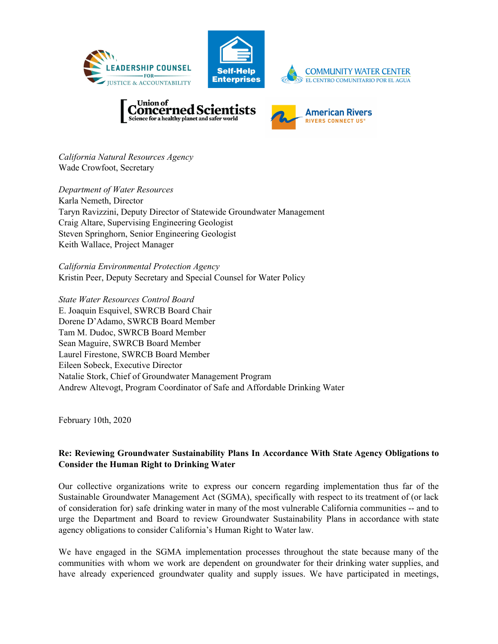





*California Natural Resources Agency* Wade Crowfoot, Secretary

*Department of Water Resources* Karla Nemeth, Director Taryn Ravizzini, Deputy Director of Statewide Groundwater Management Craig Altare, Supervising Engineering Geologist Steven Springhorn, Senior Engineering Geologist Keith Wallace, Project Manager

*California Environmental Protection Agency* Kristin Peer, Deputy Secretary and Special Counsel for Water Policy

*State Water Resources Control Board* E. Joaquin Esquivel, SWRCB Board Chair Dorene D'Adamo, SWRCB Board Member Tam M. Dudoc, SWRCB Board Member Sean Maguire, SWRCB Board Member Laurel Firestone, SWRCB Board Member Eileen Sobeck, Executive Director Natalie Stork, Chief of Groundwater Management Program Andrew Altevogt, Program Coordinator of Safe and Affordable Drinking Water

February 10th, 2020

# **Re: Reviewing Groundwater Sustainability Plans In Accordance With State Agency Obligations to Consider the Human Right to Drinking Water**

Our collective organizations write to express our concern regarding implementation thus far of the Sustainable Groundwater Management Act (SGMA), specifically with respect to its treatment of (or lack of consideration for) safe drinking water in many of the most vulnerable California communities -- and to urge the Department and Board to review Groundwater Sustainability Plans in accordance with state agency obligations to consider California's Human Right to Water law.

We have engaged in the SGMA implementation processes throughout the state because many of the communities with whom we work are dependent on groundwater for their drinking water supplies, and have already experienced groundwater quality and supply issues. We have participated in meetings,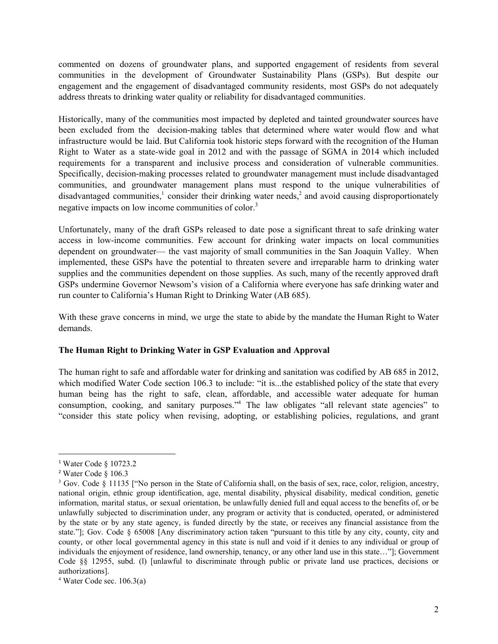commented on dozens of groundwater plans, and supported engagement of residents from several communities in the development of Groundwater Sustainability Plans (GSPs). But despite our engagement and the engagement of disadvantaged community residents, most GSPs do not adequately address threats to drinking water quality or reliability for disadvantaged communities.

Historically, many of the communities most impacted by depleted and tainted groundwater sources have been excluded from the decision-making tables that determined where water would flow and what infrastructure would be laid. But California took historic steps forward with the recognition of the Human Right to Water as a state-wide goal in 2012 and with the passage of SGMA in 2014 which included requirements for a transparent and inclusive process and consideration of vulnerable communities. Specifically, decision-making processes related to groundwater management must include disadvantaged communities, and groundwater management plans must respond to the unique vulnerabilities of disadvantaged communities,<sup>1</sup> consider their drinking water needs,<sup>2</sup> and avoid causing disproportionately negative impacts on low income communities of color.<sup>3</sup>

Unfortunately, many of the draft GSPs released to date pose a significant threat to safe drinking water access in low-income communities. Few account for drinking water impacts on local communities dependent on groundwater— the vast majority of small communities in the San Joaquin Valley. When implemented, these GSPs have the potential to threaten severe and irreparable harm to drinking water supplies and the communities dependent on those supplies. As such, many of the recently approved draft GSPs undermine Governor Newsom's vision of a California where everyone has safe drinking water and run counter to California's Human Right to Drinking Water (AB 685).

With these grave concerns in mind, we urge the state to abide by the mandate the Human Right to Water demands.

#### **The Human Right to Drinking Water in GSP Evaluation and Approval**

The human right to safe and affordable water for drinking and sanitation was codified by AB 685 in 2012, which modified Water Code section 106.3 to include: "it is...the established policy of the state that every human being has the right to safe, clean, affordable, and accessible water adequate for human consumption, cooking, and sanitary purposes."<sup>4</sup> The law obligates "all relevant state agencies" to "consider this state policy when revising, adopting, or establishing policies, regulations, and grant

<sup>1</sup> Water Code § 10723.2

<sup>2</sup> Water Code § 106.3

 $3$  Gov. Code § 11135 ["No person in the State of California shall, on the basis of sex, race, color, religion, ancestry, national origin, ethnic group identification, age, mental disability, physical disability, medical condition, genetic information, marital status, or sexual orientation, be unlawfully denied full and equal access to the benefits of, or be unlawfully subjected to discrimination under, any program or activity that is conducted, operated, or administered by the state or by any state agency, is funded directly by the state, or receives any financial assistance from the state."]; Gov. Code § 65008 [Any discriminatory action taken "pursuant to this title by any city, county, city and county, or other local governmental agency in this state is null and void if it denies to any individual or group of individuals the enjoyment of residence, land ownership, tenancy, or any other land use in this state…"]; Government Code §§ 12955, subd. (l) [unlawful to discriminate through public or private land use practices, decisions or authorizations].

 $4$  Water Code sec. 106.3(a)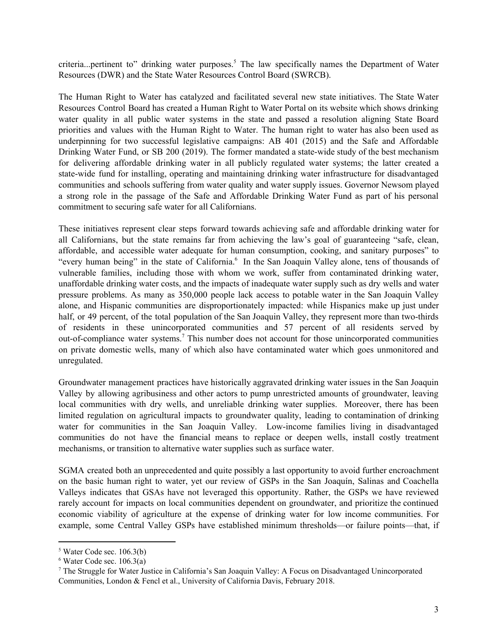criteria...pertinent to" drinking water purposes.<sup>5</sup> The law specifically names the Department of Water Resources (DWR) and the State Water Resources Control Board (SWRCB).

The Human Right to Water has catalyzed and facilitated several new state initiatives. The State Water Resources Control Board has created a Human Right to Water Portal on its website which shows drinking water quality in all public water systems in the state and passed a resolution aligning State Board priorities and values with the Human Right to Water. The human right to water has also been used as underpinning for two successful legislative campaigns: AB 401 (2015) and the Safe and Affordable Drinking Water Fund, or SB 200 (2019). The former mandated a state-wide study of the best mechanism for delivering affordable drinking water in all publicly regulated water systems; the latter created a state-wide fund for installing, operating and maintaining drinking water infrastructure for disadvantaged communities and schools suffering from water quality and water supply issues. Governor Newsom played a strong role in the passage of the Safe and Affordable Drinking Water Fund as part of his personal commitment to securing safe water for all Californians.

These initiatives represent clear steps forward towards achieving safe and affordable drinking water for all Californians, but the state remains far from achieving the law's goal of guaranteeing "safe, clean, affordable, and accessible water adequate for human consumption, cooking, and sanitary purposes" to "every human being" in the state of California.<sup>6</sup> In the San Joaquin Valley alone, tens of thousands of vulnerable families, including those with whom we work, suffer from contaminated drinking water, unaffordable drinking water costs, and the impacts of inadequate water supply such as dry wells and water pressure problems. As many as 350,000 people lack access to potable water in the San Joaquin Valley alone, and Hispanic communities are disproportionately impacted: while Hispanics make up just under half, or 49 percent, of the total population of the San Joaquin Valley, they represent more than two-thirds of residents in these unincorporated communities and 57 percent of all residents served by out-of-compliance water systems.<sup>7</sup> This number does not account for those unincorporated communities on private domestic wells, many of which also have contaminated water which goes unmonitored and unregulated.

Groundwater management practices have historically aggravated drinking water issues in the San Joaquin Valley by allowing agribusiness and other actors to pump unrestricted amounts of groundwater, leaving local communities with dry wells, and unreliable drinking water supplies. Moreover, there has been limited regulation on agricultural impacts to groundwater quality, leading to contamination of drinking water for communities in the San Joaquin Valley. Low-income families living in disadvantaged communities do not have the financial means to replace or deepen wells, install costly treatment mechanisms, or transition to alternative water supplies such as surface water.

SGMA created both an unprecedented and quite possibly a last opportunity to avoid further encroachment on the basic human right to water, yet our review of GSPs in the San Joaquín, Salinas and Coachella Valleys indicates that GSAs have not leveraged this opportunity. Rather, the GSPs we have reviewed rarely account for impacts on local communities dependent on groundwater, and prioritize the continued economic viability of agriculture at the expense of drinking water for low income communities. For example, some Central Valley GSPs have established minimum thresholds—or failure points—that, if

<sup>5</sup> Water Code sec. 106.3(b)

 $6$  Water Code sec. 106.3(a)

<sup>7</sup> The Struggle for Water Justice in California's San Joaquin Valley: A Focus on Disadvantaged Unincorporated Communities, London & Fencl et al., University of California Davis, February 2018.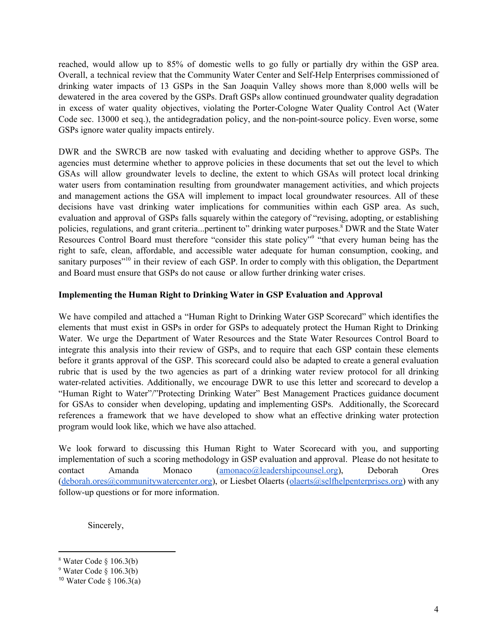reached, would allow up to 85% of domestic wells to go fully or partially dry within the GSP area. Overall, a technical review that the Community Water Center and Self-Help Enterprises commissioned of drinking water impacts of 13 GSPs in the San Joaquin Valley shows more than 8,000 wells will be dewatered in the area covered by the GSPs. Draft GSPs allow continued groundwater quality degradation in excess of water quality objectives, violating the Porter-Cologne Water Quality Control Act (Water Code sec. 13000 et seq.), the antidegradation policy, and the non-point-source policy. Even worse, some GSPs ignore water quality impacts entirely.

DWR and the SWRCB are now tasked with evaluating and deciding whether to approve GSPs. The agencies must determine whether to approve policies in these documents that set out the level to which GSAs will allow groundwater levels to decline, the extent to which GSAs will protect local drinking water users from contamination resulting from groundwater management activities, and which projects and management actions the GSA will implement to impact local groundwater resources. All of these decisions have vast drinking water implications for communities within each GSP area. As such, evaluation and approval of GSPs falls squarely within the category of "revising, adopting, or establishing policies, regulations, and grant criteria...pertinent to" drinking water purposes.<sup>8</sup> DWR and the State Water Resources Control Board must therefore "consider this state policy" "that every human being has the right to safe, clean, affordable, and accessible water adequate for human consumption, cooking, and sanitary purposes"<sup>10</sup> in their review of each GSP. In order to comply with this obligation, the Department and Board must ensure that GSPs do not cause or allow further drinking water crises.

### **Implementing the Human Right to Drinking Water in GSP Evaluation and Approval**

We have compiled and attached a "Human Right to Drinking Water GSP Scorecard" which identifies the elements that must exist in GSPs in order for GSPs to adequately protect the Human Right to Drinking Water. We urge the Department of Water Resources and the State Water Resources Control Board to integrate this analysis into their review of GSPs, and to require that each GSP contain these elements before it grants approval of the GSP. This scorecard could also be adapted to create a general evaluation rubric that is used by the two agencies as part of a drinking water review protocol for all drinking water-related activities. Additionally, we encourage DWR to use this letter and scorecard to develop a "Human Right to Water"/"Protecting Drinking Water" Best Management Practices guidance document for GSAs to consider when developing, updating and implementing GSPs. Additionally, the Scorecard references a framework that we have developed to show what an effective drinking water protection program would look like, which we have also attached.

We look forward to discussing this Human Right to Water Scorecard with you, and supporting implementation of such a scoring methodology in GSP evaluation and approval. Please do not hesitate to contact Amanda Monaco ([amonaco@leadershipcounsel.org\)](mailto:amonaco@leadershipcounsel.org), Deborah Ores  $(deborah.ores@communitywatercenter.org)$  $(deborah.ores@communitywatercenter.org)$ , or Liesbet Olaerts (olaerts  $(a)$ selfhelpenterprises.org) with any follow-up questions or for more information.

Sincerely,

 $8$  Water Code  $§$  106.3(b)

 $9$  Water Code  $\hat{g}$  106.3(b)

<sup>&</sup>lt;sup>10</sup> Water Code  $\S$  106.3(a)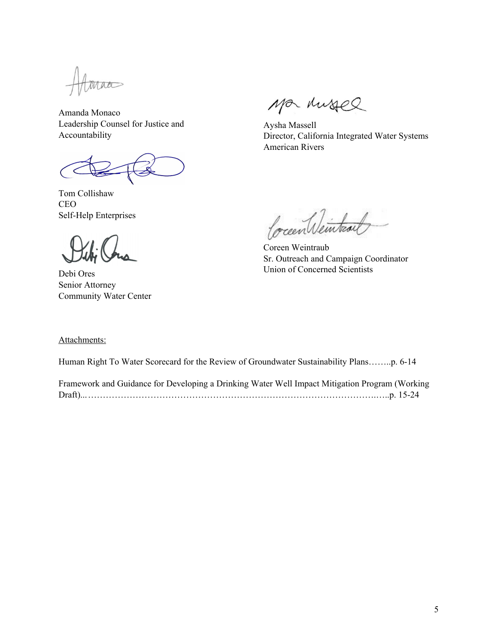Taa

Amanda Monaco Leadership Counsel for Justice and Accountability

Tom Collishaw CEO Self-Help Enterprises

Debi Ores Senior Attorney Community Water Center

Ma Mussel

Aysha Massell Director, California Integrated Water Systems American Rivers

Coccent Veinteau

Coreen Weintraub Sr. Outreach and Campaign Coordinator Union of Concerned Scientists

#### Attachments:

Human Right To Water Scorecard for the Review of Groundwater Sustainability Plans……..p. 6-14

| Framework and Guidance for Developing a Drinking Water Well Impact Mitigation Program (Working |  |
|------------------------------------------------------------------------------------------------|--|
|                                                                                                |  |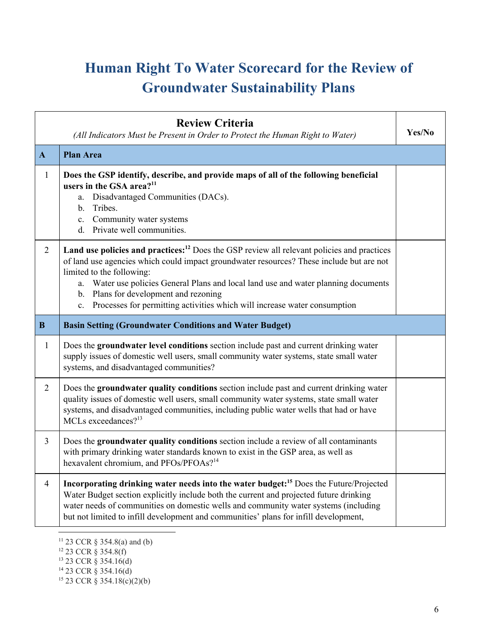# **Human Right To Water Scorecard for the Review of Groundwater Sustainability Plans**

|                | <b>Review Criteria</b><br>(All Indicators Must be Present in Order to Protect the Human Right to Water)                                                                                                                                                                                                                                                                                                                                         | Yes/No |
|----------------|-------------------------------------------------------------------------------------------------------------------------------------------------------------------------------------------------------------------------------------------------------------------------------------------------------------------------------------------------------------------------------------------------------------------------------------------------|--------|
| $\mathbf{A}$   | <b>Plan Area</b>                                                                                                                                                                                                                                                                                                                                                                                                                                |        |
| $\mathbf{1}$   | Does the GSP identify, describe, and provide maps of all of the following beneficial<br>users in the GSA area? <sup>11</sup><br>Disadvantaged Communities (DACs).<br>$a_{-}$<br>b. Tribes.<br>c. Community water systems<br>d. Private well communities.                                                                                                                                                                                        |        |
| $\overline{2}$ | Land use policies and practices: <sup>12</sup> Does the GSP review all relevant policies and practices<br>of land use agencies which could impact groundwater resources? These include but are not<br>limited to the following:<br>a. Water use policies General Plans and local land use and water planning documents<br>b. Plans for development and rezoning<br>c. Processes for permitting activities which will increase water consumption |        |
| $\bf{B}$       | <b>Basin Setting (Groundwater Conditions and Water Budget)</b>                                                                                                                                                                                                                                                                                                                                                                                  |        |
| $\mathbf{1}$   | Does the groundwater level conditions section include past and current drinking water<br>supply issues of domestic well users, small community water systems, state small water<br>systems, and disadvantaged communities?                                                                                                                                                                                                                      |        |
| $\overline{2}$ | Does the groundwater quality conditions section include past and current drinking water<br>quality issues of domestic well users, small community water systems, state small water<br>systems, and disadvantaged communities, including public water wells that had or have<br>MCLs exceedances? <sup>13</sup>                                                                                                                                  |        |
| $\overline{3}$ | Does the groundwater quality conditions section include a review of all contaminants<br>with primary drinking water standards known to exist in the GSP area, as well as<br>hexavalent chromium, and PFOs/PFOAs? <sup>14</sup>                                                                                                                                                                                                                  |        |
| $\overline{4}$ | Incorporating drinking water needs into the water budget: <sup>15</sup> Does the Future/Projected<br>Water Budget section explicitly include both the current and projected future drinking<br>water needs of communities on domestic wells and community water systems (including<br>but not limited to infill development and communities' plans for infill development,                                                                      |        |

<sup>12</sup> 23 CCR § 354.8(f)

<sup>11</sup> 23 CCR § 354.8(a) and (b)

<sup>13</sup> 23 CCR § 354.16(d)

<sup>14</sup> 23 CCR § 354.16(d)

 $15$  23 CCR § 354.18(c)(2)(b)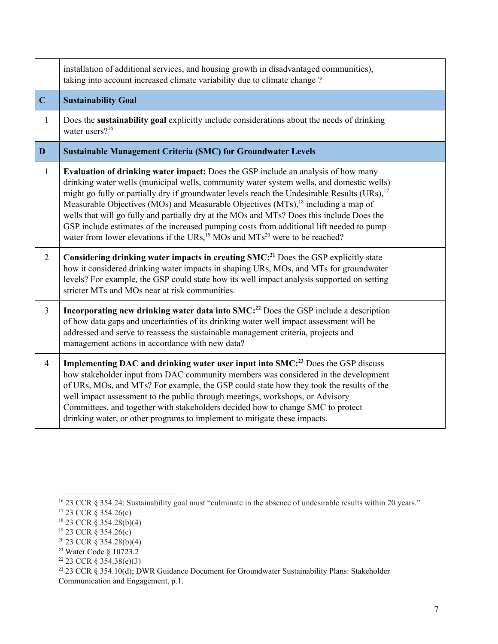|                | installation of additional services, and housing growth in disadvantaged communities),<br>taking into account increased climate variability due to climate change?                                                                                                                                                                                                                                                                                                                                                                                                                                                                                                                            |  |
|----------------|-----------------------------------------------------------------------------------------------------------------------------------------------------------------------------------------------------------------------------------------------------------------------------------------------------------------------------------------------------------------------------------------------------------------------------------------------------------------------------------------------------------------------------------------------------------------------------------------------------------------------------------------------------------------------------------------------|--|
| $\mathbf C$    | <b>Sustainability Goal</b>                                                                                                                                                                                                                                                                                                                                                                                                                                                                                                                                                                                                                                                                    |  |
| $\mathbf{1}$   | Does the sustainability goal explicitly include considerations about the needs of drinking<br>water users? <sup>16</sup>                                                                                                                                                                                                                                                                                                                                                                                                                                                                                                                                                                      |  |
| D              | <b>Sustainable Management Criteria (SMC) for Groundwater Levels</b>                                                                                                                                                                                                                                                                                                                                                                                                                                                                                                                                                                                                                           |  |
| $\mathbf{1}$   | Evaluation of drinking water impact: Does the GSP include an analysis of how many<br>drinking water wells (municipal wells, community water system wells, and domestic wells)<br>might go fully or partially dry if groundwater levels reach the Undesirable Results $(URs)$ , <sup>17</sup><br>Measurable Objectives (MOs) and Measurable Objectives (MTs), <sup>18</sup> including a map of<br>wells that will go fully and partially dry at the MOs and MTs? Does this include Does the<br>GSP include estimates of the increased pumping costs from additional lift needed to pump<br>water from lower elevations if the URs, <sup>19</sup> MOs and MTs <sup>20</sup> were to be reached? |  |
| $\overline{2}$ | Considering drinking water impacts in creating SMC: <sup>21</sup> Does the GSP explicitly state<br>how it considered drinking water impacts in shaping URs, MOs, and MTs for groundwater<br>levels? For example, the GSP could state how its well impact analysis supported on setting<br>stricter MTs and MOs near at risk communities.                                                                                                                                                                                                                                                                                                                                                      |  |
| $\overline{3}$ | Incorporating new drinking water data into SMC: <sup>22</sup> Does the GSP include a description<br>of how data gaps and uncertainties of its drinking water well impact assessment will be<br>addressed and serve to reassess the sustainable management criteria, projects and<br>management actions in accordance with new data?                                                                                                                                                                                                                                                                                                                                                           |  |
| $\overline{4}$ | Implementing DAC and drinking water user input into SMC: <sup>23</sup> Does the GSP discuss<br>how stakeholder input from DAC community members was considered in the development<br>of URs, MOs, and MTs? For example, the GSP could state how they took the results of the<br>well impact assessment to the public through meetings, workshops, or Advisory<br>Committees, and together with stakeholders decided how to change SMC to protect<br>drinking water, or other programs to implement to mitigate these impacts.                                                                                                                                                                 |  |

<sup>&</sup>lt;sup>16</sup> 23 CCR § 354.24: Sustainability goal must "culminate in the absence of undesirable results within 20 years."

<sup>17</sup> 23 CCR § 354.26(c)

<sup>18</sup> 23 CCR § 354.28(b)(4)

<sup>19</sup> 23 CCR § 354.26(c)

<sup>20</sup> 23 CCR § 354.28(b)(4)

 $21$  Water Code § 10723.2

 $22$  23 CCR § 354.38(e)(3)

<sup>&</sup>lt;sup>23</sup> 23 CCR § 354.10(d); DWR Guidance Document for Groundwater Sustainability Plans: Stakeholder Communication and Engagement, p.1.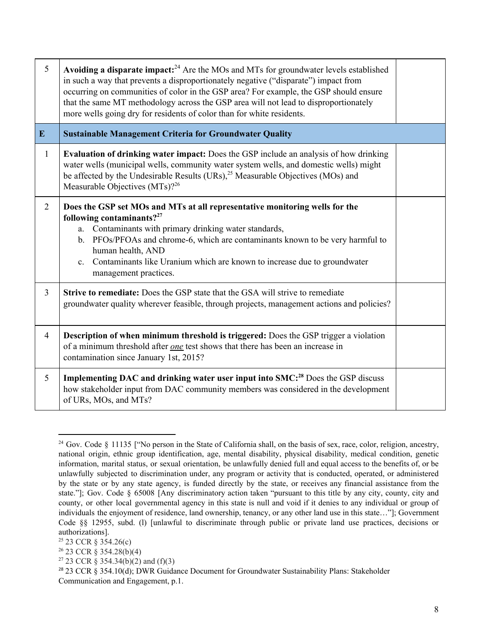| 5              | Avoiding a disparate impact: $^{24}$ Are the MOs and MTs for groundwater levels established<br>in such a way that prevents a disproportionately negative ("disparate") impact from<br>occurring on communities of color in the GSP area? For example, the GSP should ensure<br>that the same MT methodology across the GSP area will not lead to disproportionately<br>more wells going dry for residents of color than for white residents. |  |
|----------------|----------------------------------------------------------------------------------------------------------------------------------------------------------------------------------------------------------------------------------------------------------------------------------------------------------------------------------------------------------------------------------------------------------------------------------------------|--|
| $\mathbf{E}$   | <b>Sustainable Management Criteria for Groundwater Quality</b>                                                                                                                                                                                                                                                                                                                                                                               |  |
| $\mathbf{1}$   | Evaluation of drinking water impact: Does the GSP include an analysis of how drinking<br>water wells (municipal wells, community water system wells, and domestic wells) might<br>be affected by the Undesirable Results (URs), <sup>25</sup> Measurable Objectives (MOs) and<br>Measurable Objectives (MTs)? <sup>26</sup>                                                                                                                  |  |
| $\overline{2}$ | Does the GSP set MOs and MTs at all representative monitoring wells for the<br>following contaminants? $2^{27}$<br>Contaminants with primary drinking water standards,<br>a.<br>PFOs/PFOAs and chrome-6, which are contaminants known to be very harmful to<br>b.<br>human health, AND<br>c. Contaminants like Uranium which are known to increase due to groundwater<br>management practices.                                               |  |
| $\overline{3}$ | Strive to remediate: Does the GSP state that the GSA will strive to remediate<br>groundwater quality wherever feasible, through projects, management actions and policies?                                                                                                                                                                                                                                                                   |  |
| $\overline{4}$ | Description of when minimum threshold is triggered: Does the GSP trigger a violation<br>of a minimum threshold after <i>one</i> test shows that there has been an increase in<br>contamination since January 1st, 2015?                                                                                                                                                                                                                      |  |
| 5              | Implementing DAC and drinking water user input into SMC: <sup>28</sup> Does the GSP discuss<br>how stakeholder input from DAC community members was considered in the development<br>of URs, MOs, and MTs?                                                                                                                                                                                                                                   |  |

<sup>&</sup>lt;sup>24</sup> Gov. Code § 11135 ["No person in the State of California shall, on the basis of sex, race, color, religion, ancestry, national origin, ethnic group identification, age, mental disability, physical disability, medical condition, genetic information, marital status, or sexual orientation, be unlawfully denied full and equal access to the benefits of, or be unlawfully subjected to discrimination under, any program or activity that is conducted, operated, or administered by the state or by any state agency, is funded directly by the state, or receives any financial assistance from the state."]; Gov. Code § 65008 [Any discriminatory action taken "pursuant to this title by any city, county, city and county, or other local governmental agency in this state is null and void if it denies to any individual or group of individuals the enjoyment of residence, land ownership, tenancy, or any other land use in this state…"]; Government Code §§ 12955, subd. (l) [unlawful to discriminate through public or private land use practices, decisions or authorizations].

<sup>25</sup> 23 CCR § 354.26(c)

<sup>26</sup> 23 CCR § 354.28(b)(4)

<sup>&</sup>lt;sup>27</sup> 23 CCR § 354.34(b)(2) and (f)(3)

<sup>28</sup> 23 CCR § 354.10(d); DWR Guidance Document for Groundwater Sustainability Plans: Stakeholder Communication and Engagement, p.1.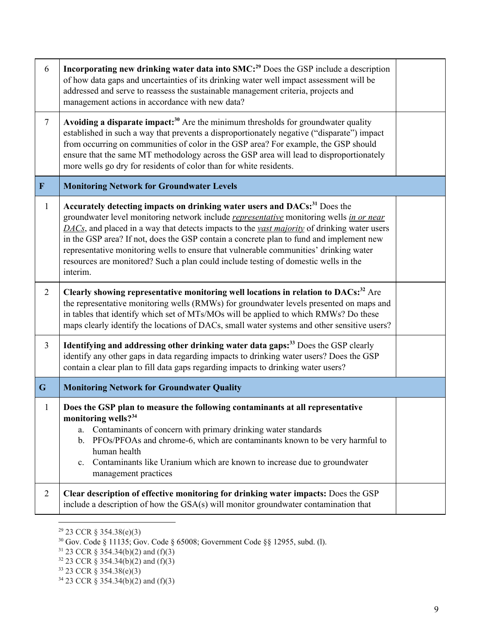| 6              | Incorporating new drinking water data into SMC: <sup>29</sup> Does the GSP include a description<br>of how data gaps and uncertainties of its drinking water well impact assessment will be<br>addressed and serve to reassess the sustainable management criteria, projects and<br>management actions in accordance with new data?                                                                                                                                                                                                                                                         |  |  |
|----------------|---------------------------------------------------------------------------------------------------------------------------------------------------------------------------------------------------------------------------------------------------------------------------------------------------------------------------------------------------------------------------------------------------------------------------------------------------------------------------------------------------------------------------------------------------------------------------------------------|--|--|
| $\overline{7}$ | Avoiding a disparate impact: $30$ Are the minimum thresholds for groundwater quality<br>established in such a way that prevents a disproportionately negative ("disparate") impact<br>from occurring on communities of color in the GSP area? For example, the GSP should<br>ensure that the same MT methodology across the GSP area will lead to disproportionately<br>more wells go dry for residents of color than for white residents.                                                                                                                                                  |  |  |
| $\mathbf F$    | <b>Monitoring Network for Groundwater Levels</b>                                                                                                                                                                                                                                                                                                                                                                                                                                                                                                                                            |  |  |
| $\mathbf{1}$   | Accurately detecting impacts on drinking water users and DACs: <sup>31</sup> Does the<br>groundwater level monitoring network include <i>representative</i> monitoring wells in or near<br>$\overline{DACS}$ , and placed in a way that detects impacts to the vast majority of drinking water users<br>in the GSP area? If not, does the GSP contain a concrete plan to fund and implement new<br>representative monitoring wells to ensure that vulnerable communities' drinking water<br>resources are monitored? Such a plan could include testing of domestic wells in the<br>interim. |  |  |
| $\overline{2}$ | Clearly showing representative monitoring well locations in relation to DACs: <sup>32</sup> Are<br>the representative monitoring wells (RMWs) for groundwater levels presented on maps and<br>in tables that identify which set of MTs/MOs will be applied to which RMWs? Do these<br>maps clearly identify the locations of DACs, small water systems and other sensitive users?                                                                                                                                                                                                           |  |  |
| $\overline{3}$ | Identifying and addressing other drinking water data gaps: <sup>33</sup> Does the GSP clearly<br>identify any other gaps in data regarding impacts to drinking water users? Does the GSP<br>contain a clear plan to fill data gaps regarding impacts to drinking water users?                                                                                                                                                                                                                                                                                                               |  |  |
| $\mathbf G$    | <b>Monitoring Network for Groundwater Quality</b>                                                                                                                                                                                                                                                                                                                                                                                                                                                                                                                                           |  |  |
| $\mathbf{1}$   | Does the GSP plan to measure the following contaminants at all representative<br>monitoring wells? <sup>34</sup><br>Contaminants of concern with primary drinking water standards<br>a.<br>PFOs/PFOAs and chrome-6, which are contaminants known to be very harmful to<br>b.<br>human health<br>Contaminants like Uranium which are known to increase due to groundwater<br>$\mathbf{c}$ .<br>management practices                                                                                                                                                                          |  |  |
| $\overline{2}$ | Clear description of effective monitoring for drinking water impacts: Does the GSP<br>include a description of how the GSA(s) will monitor groundwater contamination that                                                                                                                                                                                                                                                                                                                                                                                                                   |  |  |

 $29$  23 CCR § 354.38(e)(3)

 $30$  Gov. Code § 11135; Gov. Code § 65008; Government Code §§ 12955, subd. (1).

 $31$  23 CCR § 354.34(b)(2) and (f)(3)

 $32$  23 CCR § 354.34(b)(2) and (f)(3)

<sup>33</sup> 23 CCR § 354.38(e)(3)

<sup>34</sup> 23 CCR § 354.34(b)(2) and (f)(3)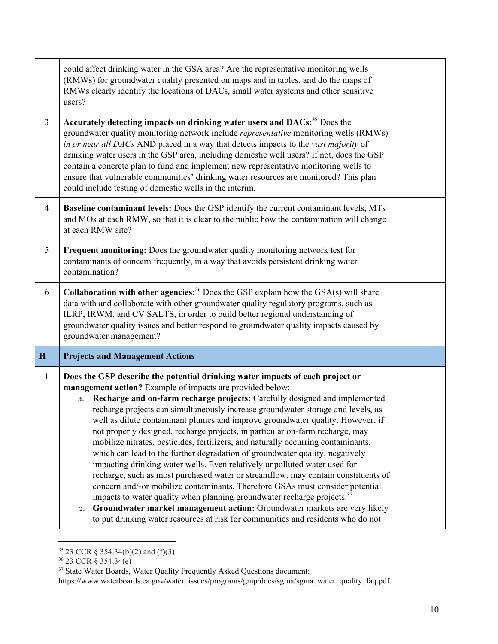|                | could affect drinking water in the GSA area? Are the representative monitoring wells<br>(RMWs) for groundwater quality presented on maps and in tables, and do the maps of<br>RMWs clearly identify the locations of DACs, small water systems and other sensitive<br>users?                                                                                                                                                                                                                                                                                                                                                                                                                                                                                                                                                                                                                                                                                                                                                                                                                                                                                             |  |  |  |
|----------------|--------------------------------------------------------------------------------------------------------------------------------------------------------------------------------------------------------------------------------------------------------------------------------------------------------------------------------------------------------------------------------------------------------------------------------------------------------------------------------------------------------------------------------------------------------------------------------------------------------------------------------------------------------------------------------------------------------------------------------------------------------------------------------------------------------------------------------------------------------------------------------------------------------------------------------------------------------------------------------------------------------------------------------------------------------------------------------------------------------------------------------------------------------------------------|--|--|--|
| $\overline{3}$ | Accurately detecting impacts on drinking water users and DACs: <sup>35</sup> Does the<br>groundwater quality monitoring network include <i>representative</i> monitoring wells (RMWs)<br>in or near all DACs AND placed in a way that detects impacts to the vast majority of<br>drinking water users in the GSP area, including domestic well users? If not, does the GSP<br>contain a concrete plan to fund and implement new representative monitoring wells to<br>ensure that vulnerable communities' drinking water resources are monitored? This plan<br>could include testing of domestic wells in the interim.                                                                                                                                                                                                                                                                                                                                                                                                                                                                                                                                                   |  |  |  |
| $\overline{4}$ | Baseline contaminant levels: Does the GSP identify the current contaminant levels, MTs<br>and MOs at each RMW, so that it is clear to the public how the contamination will change<br>at each RMW site?                                                                                                                                                                                                                                                                                                                                                                                                                                                                                                                                                                                                                                                                                                                                                                                                                                                                                                                                                                  |  |  |  |
| 5              | Frequent monitoring: Does the groundwater quality monitoring network test for<br>contaminants of concern frequently, in a way that avoids persistent drinking water<br>contamination?                                                                                                                                                                                                                                                                                                                                                                                                                                                                                                                                                                                                                                                                                                                                                                                                                                                                                                                                                                                    |  |  |  |
| 6              | <b>Collaboration with other agencies:</b> <sup>36</sup> Does the GSP explain how the $GSA(s)$ will share<br>data with and collaborate with other groundwater quality regulatory programs, such as<br>ILRP, IRWM, and CV SALTS, in order to build better regional understanding of<br>groundwater quality issues and better respond to groundwater quality impacts caused by<br>groundwater management?                                                                                                                                                                                                                                                                                                                                                                                                                                                                                                                                                                                                                                                                                                                                                                   |  |  |  |
| H              | <b>Projects and Management Actions</b>                                                                                                                                                                                                                                                                                                                                                                                                                                                                                                                                                                                                                                                                                                                                                                                                                                                                                                                                                                                                                                                                                                                                   |  |  |  |
| $\mathbf{1}$   | Does the GSP describe the potential drinking water impacts of each project or<br>management action? Example of impacts are provided below:<br>a. Recharge and on-farm recharge projects: Carefully designed and implemented<br>recharge projects can simultaneously increase groundwater storage and levels, as<br>well as dilute contaminant plumes and improve groundwater quality. However, if<br>not properly designed, recharge projects, in particular on-farm recharge, may<br>mobilize nitrates, pesticides, fertilizers, and naturally occurring contaminants,<br>which can lead to the further degradation of groundwater quality, negatively<br>impacting drinking water wells. Even relatively unpolluted water used for<br>recharge, such as most purchased water or streamflow, may contain constituents of<br>concern and/-or mobilize contaminants. Therefore GSAs must consider potential<br>impacts to water quality when planning groundwater recharge projects. <sup>37</sup><br>Groundwater market management action: Groundwater markets are very likely<br>b.<br>to put drinking water resources at risk for communities and residents who do not |  |  |  |

<sup>35</sup> 23 CCR § 354.34(b)(2) and (f)(3)

<sup>36</sup> 23 CCR § 354.34(e)

<sup>&</sup>lt;sup>37</sup> State Water Boards, Water Quality Frequently Asked Questions document:

https://www.waterboards.ca.gov/water\_issues/programs/gmp/docs/sgma/sgma\_water\_quality\_faq.pdf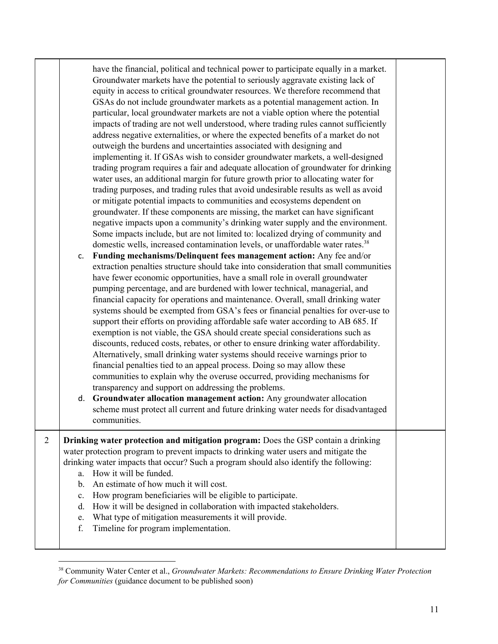|   | have the financial, political and technical power to participate equally in a market.<br>Groundwater markets have the potential to seriously aggravate existing lack of<br>equity in access to critical groundwater resources. We therefore recommend that<br>GSAs do not include groundwater markets as a potential management action. In<br>particular, local groundwater markets are not a viable option where the potential<br>impacts of trading are not well understood, where trading rules cannot sufficiently<br>address negative externalities, or where the expected benefits of a market do not<br>outweigh the burdens and uncertainties associated with designing and<br>implementing it. If GSAs wish to consider groundwater markets, a well-designed<br>trading program requires a fair and adequate allocation of groundwater for drinking<br>water uses, an additional margin for future growth prior to allocating water for<br>trading purposes, and trading rules that avoid undesirable results as well as avoid<br>or mitigate potential impacts to communities and ecosystems dependent on<br>groundwater. If these components are missing, the market can have significant<br>negative impacts upon a community's drinking water supply and the environment.<br>Some impacts include, but are not limited to: localized drying of community and<br>domestic wells, increased contamination levels, or unaffordable water rates. <sup>38</sup><br>Funding mechanisms/Delinquent fees management action: Any fee and/or<br>C.<br>extraction penalties structure should take into consideration that small communities<br>have fewer economic opportunities, have a small role in overall groundwater<br>pumping percentage, and are burdened with lower technical, managerial, and<br>financial capacity for operations and maintenance. Overall, small drinking water<br>systems should be exempted from GSA's fees or financial penalties for over-use to<br>support their efforts on providing affordable safe water according to AB 685. If<br>exemption is not viable, the GSA should create special considerations such as<br>discounts, reduced costs, rebates, or other to ensure drinking water affordability.<br>Alternatively, small drinking water systems should receive warnings prior to<br>financial penalties tied to an appeal process. Doing so may allow these<br>communities to explain why the overuse occurred, providing mechanisms for<br>transparency and support on addressing the problems.<br>d. Groundwater allocation management action: Any groundwater allocation<br>scheme must protect all current and future drinking water needs for disadvantaged<br>communities. |  |
|---|---------------------------------------------------------------------------------------------------------------------------------------------------------------------------------------------------------------------------------------------------------------------------------------------------------------------------------------------------------------------------------------------------------------------------------------------------------------------------------------------------------------------------------------------------------------------------------------------------------------------------------------------------------------------------------------------------------------------------------------------------------------------------------------------------------------------------------------------------------------------------------------------------------------------------------------------------------------------------------------------------------------------------------------------------------------------------------------------------------------------------------------------------------------------------------------------------------------------------------------------------------------------------------------------------------------------------------------------------------------------------------------------------------------------------------------------------------------------------------------------------------------------------------------------------------------------------------------------------------------------------------------------------------------------------------------------------------------------------------------------------------------------------------------------------------------------------------------------------------------------------------------------------------------------------------------------------------------------------------------------------------------------------------------------------------------------------------------------------------------------------------------------------------------------------------------------------------------------------------------------------------------------------------------------------------------------------------------------------------------------------------------------------------------------------------------------------------------------------------------------------------------------------------------------------------------------------------------------------------------------------------------------------------------------------------------------------------------------------------|--|
| 2 | Drinking water protection and mitigation program: Does the GSP contain a drinking<br>water protection program to prevent impacts to drinking water users and mitigate the<br>drinking water impacts that occur? Such a program should also identify the following:<br>a. How it will be funded.<br>An estimate of how much it will cost.<br>b.<br>How program beneficiaries will be eligible to participate.<br>$\mathbf{c}$ .<br>How it will be designed in collaboration with impacted stakeholders.<br>d.<br>What type of mitigation measurements it will provide.<br>e.<br>Timeline for program implementation.<br>f.                                                                                                                                                                                                                                                                                                                                                                                                                                                                                                                                                                                                                                                                                                                                                                                                                                                                                                                                                                                                                                                                                                                                                                                                                                                                                                                                                                                                                                                                                                                                                                                                                                                                                                                                                                                                                                                                                                                                                                                                                                                                                                       |  |

<sup>38</sup> Community Water Center et al., *Groundwater Markets: Recommendations to Ensure Drinking Water Protection for Communities* (guidance document to be published soon)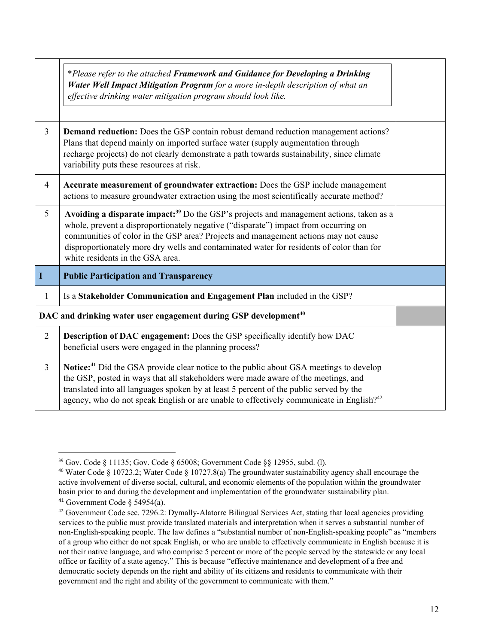|                | *Please refer to the attached Framework and Guidance for Developing a Drinking<br>Water Well Impact Mitigation Program for a more in-depth description of what an<br>effective drinking water mitigation program should look like.                                                                                                                                                                                |  |
|----------------|-------------------------------------------------------------------------------------------------------------------------------------------------------------------------------------------------------------------------------------------------------------------------------------------------------------------------------------------------------------------------------------------------------------------|--|
| $\overline{3}$ | <b>Demand reduction:</b> Does the GSP contain robust demand reduction management actions?<br>Plans that depend mainly on imported surface water (supply augmentation through<br>recharge projects) do not clearly demonstrate a path towards sustainability, since climate<br>variability puts these resources at risk.                                                                                           |  |
| $\overline{4}$ | Accurate measurement of groundwater extraction: Does the GSP include management<br>actions to measure groundwater extraction using the most scientifically accurate method?                                                                                                                                                                                                                                       |  |
| 5              | Avoiding a disparate impact: <sup>39</sup> Do the GSP's projects and management actions, taken as a<br>whole, prevent a disproportionately negative ("disparate") impact from occurring on<br>communities of color in the GSP area? Projects and management actions may not cause<br>disproportionately more dry wells and contaminated water for residents of color than for<br>white residents in the GSA area. |  |
| I              | <b>Public Participation and Transparency</b>                                                                                                                                                                                                                                                                                                                                                                      |  |
| 1              | Is a Stakeholder Communication and Engagement Plan included in the GSP?                                                                                                                                                                                                                                                                                                                                           |  |
|                | DAC and drinking water user engagement during GSP development <sup>40</sup>                                                                                                                                                                                                                                                                                                                                       |  |
| $\overline{2}$ | <b>Description of DAC engagement:</b> Does the GSP specifically identify how DAC<br>beneficial users were engaged in the planning process?                                                                                                                                                                                                                                                                        |  |
| $\overline{3}$ | Notice: <sup>41</sup> Did the GSA provide clear notice to the public about GSA meetings to develop<br>the GSP, posted in ways that all stakeholders were made aware of the meetings, and<br>translated into all languages spoken by at least 5 percent of the public served by the<br>agency, who do not speak English or are unable to effectively communicate in English? <sup>42</sup>                         |  |

<sup>39</sup> Gov. Code § 11135; Gov. Code § 65008; Government Code §§ 12955, subd. (l).

<sup>40</sup> Water Code § 10723.2; Water Code § 10727.8(a) The groundwater sustainability agency shall encourage the active involvement of diverse social, cultural, and economic elements of the population within the groundwater basin prior to and during the development and implementation of the groundwater sustainability plan. <sup>41</sup> Government Code  $\S$  54954(a).

<sup>42</sup> Government Code sec. 7296.2: Dymally-Alatorre Bilingual Services Act, stating that local agencies providing services to the public must provide translated materials and interpretation when it serves a substantial number of non-English-speaking people. The law defines a "substantial number of non-English-speaking people" as "members of a group who either do not speak English, or who are unable to effectively communicate in English because it is not their native language, and who comprise 5 percent or more of the people served by the statewide or any local office or facility of a state agency." This is because "effective maintenance and development of a free and democratic society depends on the right and ability of its citizens and residents to communicate with their government and the right and ability of the government to communicate with them."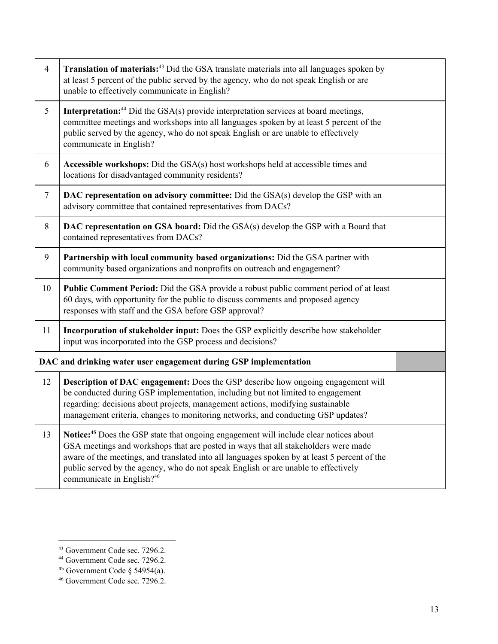| $\overline{4}$ | <b>Translation of materials:</b> <sup>43</sup> Did the GSA translate materials into all languages spoken by<br>at least 5 percent of the public served by the agency, who do not speak English or are<br>unable to effectively communicate in English?                                                                                                                                                                 |  |
|----------------|------------------------------------------------------------------------------------------------------------------------------------------------------------------------------------------------------------------------------------------------------------------------------------------------------------------------------------------------------------------------------------------------------------------------|--|
| 5              | <b>Interpretation:</b> <sup>44</sup> Did the GSA(s) provide interpretation services at board meetings,<br>committee meetings and workshops into all languages spoken by at least 5 percent of the<br>public served by the agency, who do not speak English or are unable to effectively<br>communicate in English?                                                                                                     |  |
| 6              | Accessible workshops: Did the GSA(s) host workshops held at accessible times and<br>locations for disadvantaged community residents?                                                                                                                                                                                                                                                                                   |  |
| $\tau$         | DAC representation on advisory committee: Did the GSA(s) develop the GSP with an<br>advisory committee that contained representatives from DACs?                                                                                                                                                                                                                                                                       |  |
| 8              | DAC representation on GSA board: Did the GSA(s) develop the GSP with a Board that<br>contained representatives from DACs?                                                                                                                                                                                                                                                                                              |  |
| 9              | Partnership with local community based organizations: Did the GSA partner with<br>community based organizations and nonprofits on outreach and engagement?                                                                                                                                                                                                                                                             |  |
| 10             | Public Comment Period: Did the GSA provide a robust public comment period of at least<br>60 days, with opportunity for the public to discuss comments and proposed agency<br>responses with staff and the GSA before GSP approval?                                                                                                                                                                                     |  |
| 11             | Incorporation of stakeholder input: Does the GSP explicitly describe how stakeholder<br>input was incorporated into the GSP process and decisions?                                                                                                                                                                                                                                                                     |  |
|                | DAC and drinking water user engagement during GSP implementation                                                                                                                                                                                                                                                                                                                                                       |  |
| 12             | <b>Description of DAC engagement:</b> Does the GSP describe how ongoing engagement will<br>be conducted during GSP implementation, including but not limited to engagement<br>regarding: decisions about projects, management actions, modifying sustainable<br>management criteria, changes to monitoring networks, and conducting GSP updates?                                                                       |  |
| 13             | Notice: <sup>45</sup> Does the GSP state that ongoing engagement will include clear notices about<br>GSA meetings and workshops that are posted in ways that all stakeholders were made<br>aware of the meetings, and translated into all languages spoken by at least 5 percent of the<br>public served by the agency, who do not speak English or are unable to effectively<br>communicate in English? <sup>46</sup> |  |

<sup>43</sup> Government Code sec. 7296.2.

<sup>44</sup> Government Code sec. 7296.2.

 $45$  Government Code § 54954(a).

<sup>46</sup> Government Code sec. 7296.2.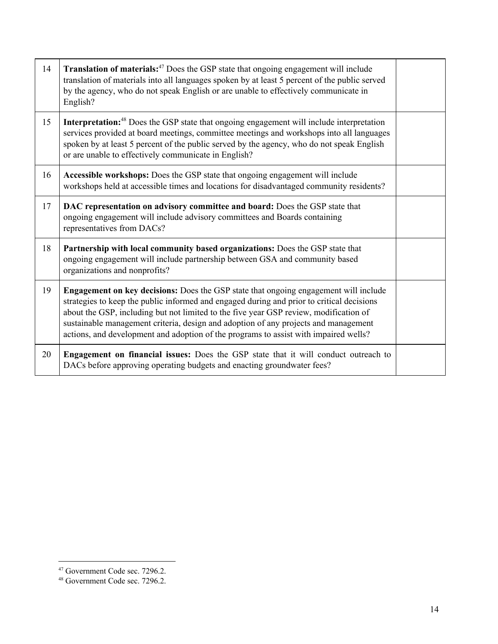| 14 | Translation of materials: <sup>47</sup> Does the GSP state that ongoing engagement will include<br>translation of materials into all languages spoken by at least 5 percent of the public served<br>by the agency, who do not speak English or are unable to effectively communicate in<br>English?                                                                                                                                                              |  |
|----|------------------------------------------------------------------------------------------------------------------------------------------------------------------------------------------------------------------------------------------------------------------------------------------------------------------------------------------------------------------------------------------------------------------------------------------------------------------|--|
| 15 | Interpretation: <sup>48</sup> Does the GSP state that ongoing engagement will include interpretation<br>services provided at board meetings, committee meetings and workshops into all languages<br>spoken by at least 5 percent of the public served by the agency, who do not speak English<br>or are unable to effectively communicate in English?                                                                                                            |  |
| 16 | Accessible workshops: Does the GSP state that ongoing engagement will include<br>workshops held at accessible times and locations for disadvantaged community residents?                                                                                                                                                                                                                                                                                         |  |
| 17 | DAC representation on advisory committee and board: Does the GSP state that<br>ongoing engagement will include advisory committees and Boards containing<br>representatives from DACs?                                                                                                                                                                                                                                                                           |  |
| 18 | Partnership with local community based organizations: Does the GSP state that<br>ongoing engagement will include partnership between GSA and community based<br>organizations and nonprofits?                                                                                                                                                                                                                                                                    |  |
| 19 | <b>Engagement on key decisions:</b> Does the GSP state that ongoing engagement will include<br>strategies to keep the public informed and engaged during and prior to critical decisions<br>about the GSP, including but not limited to the five year GSP review, modification of<br>sustainable management criteria, design and adoption of any projects and management<br>actions, and development and adoption of the programs to assist with impaired wells? |  |
| 20 | Engagement on financial issues: Does the GSP state that it will conduct outreach to<br>DACs before approving operating budgets and enacting groundwater fees?                                                                                                                                                                                                                                                                                                    |  |

<sup>47</sup> Government Code sec. 7296.2.

<sup>48</sup> Government Code sec. 7296.2.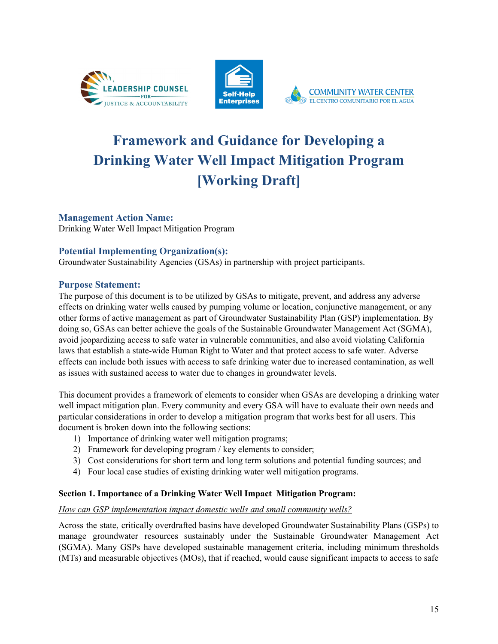





# **Framework and Guidance for Developing a Drinking Water Well Impact Mitigation Program [Working Draft]**

# **Management Action Name:**

Drinking Water Well Impact Mitigation Program

# **Potential Implementing Organization(s):**

Groundwater Sustainability Agencies (GSAs) in partnership with project participants.

## **Purpose Statement:**

The purpose of this document is to be utilized by GSAs to mitigate, prevent, and address any adverse effects on drinking water wells caused by pumping volume or location, conjunctive management, or any other forms of active management as part of Groundwater Sustainability Plan (GSP) implementation. By doing so, GSAs can better achieve the goals of the Sustainable Groundwater Management Act (SGMA), avoid jeopardizing access to safe water in vulnerable communities, and also avoid violating California laws that establish a state-wide Human Right to Water and that protect access to safe water. Adverse effects can include both issues with access to safe drinking water due to increased contamination, as well as issues with sustained access to water due to changes in groundwater levels.

This document provides a framework of elements to consider when GSAs are developing a drinking water well impact mitigation plan. Every community and every GSA will have to evaluate their own needs and particular considerations in order to develop a mitigation program that works best for all users. This document is broken down into the following sections:

- 1) Importance of drinking water well mitigation programs;
- 2) Framework for developing program / key elements to consider;
- 3) Cost considerations for short term and long term solutions and potential funding sources; and
- 4) Four local case studies of existing drinking water well mitigation programs.

## **Section 1. Importance of a Drinking Water Well Impact Mitigation Program:**

#### *How can GSP implementation impact domestic wells and small community wells?*

Across the state, critically overdrafted basins have developed Groundwater Sustainability Plans (GSPs) to manage groundwater resources sustainably under the Sustainable Groundwater Management Act (SGMA). Many GSPs have developed sustainable management criteria, including minimum thresholds (MTs) and measurable objectives (MOs), that if reached, would cause significant impacts to access to safe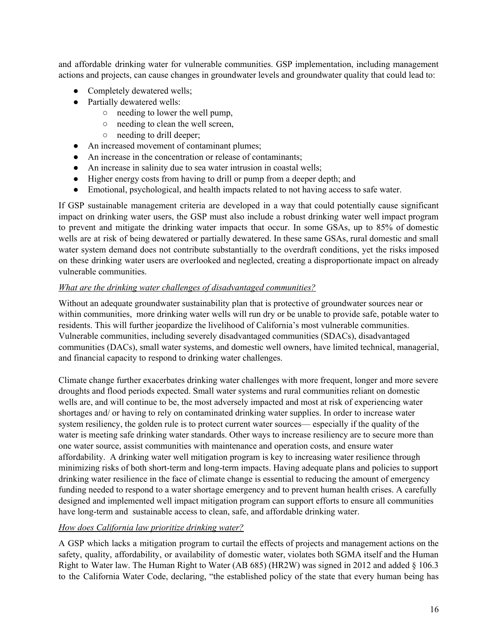and affordable drinking water for vulnerable communities. GSP implementation, including management actions and projects, can cause changes in groundwater levels and groundwater quality that could lead to:

- Completely dewatered wells;
- Partially dewatered wells:
	- needing to lower the well pump,
	- needing to clean the well screen,
	- needing to drill deeper;
- An increased movement of contaminant plumes;
- An increase in the concentration or release of contaminants;
- An increase in salinity due to sea water intrusion in coastal wells;
- Higher energy costs from having to drill or pump from a deeper depth; and
- Emotional, psychological, and health impacts related to not having access to safe water.

If GSP sustainable management criteria are developed in a way that could potentially cause significant impact on drinking water users, the GSP must also include a robust drinking water well impact program to prevent and mitigate the drinking water impacts that occur. In some GSAs, up to 85% of domestic wells are at risk of being dewatered or partially dewatered. In these same GSAs, rural domestic and small water system demand does not contribute substantially to the overdraft conditions, yet the risks imposed on these drinking water users are overlooked and neglected, creating a disproportionate impact on already vulnerable communities.

## *What are the drinking water challenges of disadvantaged communities?*

Without an adequate groundwater sustainability plan that is protective of groundwater sources near or within communities, more drinking water wells will run dry or be unable to provide safe, potable water to residents. This will further jeopardize the livelihood of California's most vulnerable communities. Vulnerable communities, including severely disadvantaged communities (SDACs), disadvantaged communities (DACs), small water systems, and domestic well owners, have limited technical, managerial, and financial capacity to respond to drinking water challenges.

Climate change further exacerbates drinking water challenges with more frequent, longer and more severe droughts and flood periods expected. Small water systems and rural communities reliant on domestic wells are, and will continue to be, the most adversely impacted and most at risk of experiencing water shortages and/ or having to rely on contaminated drinking water supplies. In order to increase water system resiliency, the golden rule is to protect current water sources— especially if the quality of the water is meeting safe drinking water standards. Other ways to increase resiliency are to secure more than one water source, assist communities with maintenance and operation costs, and ensure water affordability. A drinking water well mitigation program is key to increasing water resilience through minimizing risks of both short-term and long-term impacts. Having adequate plans and policies to support drinking water resilience in the face of climate change is essential to reducing the amount of emergency funding needed to respond to a water shortage emergency and to prevent human health crises. A carefully designed and implemented well impact mitigation program can support efforts to ensure all communities have long-term and sustainable access to clean, safe, and affordable drinking water.

## *How does California law prioritize drinking water?*

A GSP which lacks a mitigation program to curtail the effects of projects and management actions on the safety, quality, affordability, or availability of domestic water, violates both SGMA itself and the Human Right to Water law. The Human Right to Water (AB 685) (HR2W) was signed in 2012 and added § 106.3 to the California Water Code, declaring, "the established policy of the state that every human being has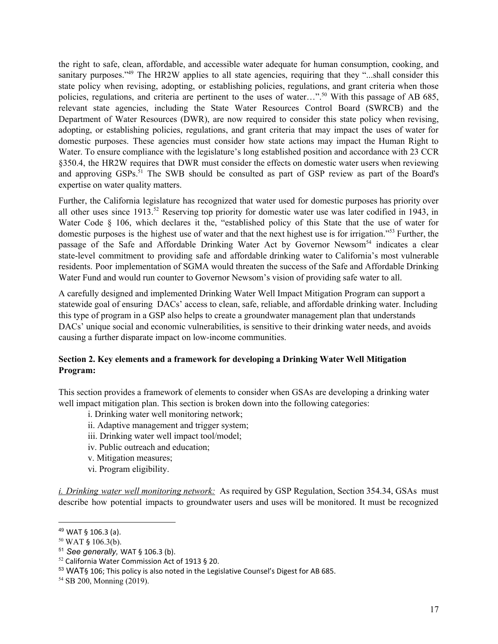the right to safe, clean, affordable, and accessible water adequate for human consumption, cooking, and sanitary purposes."<sup>49</sup> The HR2W applies to all state agencies, requiring that they "...shall consider this state policy when revising, adopting, or establishing policies, regulations, and grant criteria when those policies, regulations, and criteria are pertinent to the uses of water...".<sup>50</sup> With this passage of AB 685, relevant state agencies, including the State Water Resources Control Board (SWRCB) and the Department of Water Resources (DWR), are now required to consider this state policy when revising, adopting, or establishing policies, regulations, and grant criteria that may impact the uses of water for domestic purposes. These agencies must consider how state actions may impact the Human Right to Water. To ensure compliance with the legislature's long established position and accordance with 23 CCR §350.4, the HR2W requires that DWR must consider the effects on domestic water users when reviewing and approving GSPs.<sup>51</sup> The SWB should be consulted as part of GSP review as part of the Board's expertise on water quality matters.

Further, the California legislature has recognized that water used for domestic purposes has priority over all other uses since  $1913$ <sup>52</sup> Reserving top priority for domestic water use was later codified in 1943, in Water Code § 106, which declares it the, "established policy of this State that the use of water for domestic purposes is the highest use of water and that the next highest use is for irrigation."<sup>53</sup> Further, the passage of the Safe and Affordable Drinking Water Act by Governor Newsom<sup>54</sup> indicates a clear state-level commitment to providing safe and affordable drinking water to California's most vulnerable residents. Poor implementation of SGMA would threaten the success of the Safe and Affordable Drinking Water Fund and would run counter to Governor Newsom's vision of providing safe water to all.

A carefully designed and implemented Drinking Water Well Impact Mitigation Program can support a statewide goal of ensuring DACs' access to clean, safe, reliable, and affordable drinking water. Including this type of program in a GSP also helps to create a groundwater management plan that understands DACs' unique social and economic vulnerabilities, is sensitive to their drinking water needs, and avoids causing a further disparate impact on low-income communities.

### **Section 2. Key elements and a framework for developing a Drinking Water Well Mitigation Program:**

This section provides a framework of elements to consider when GSAs are developing a drinking water well impact mitigation plan. This section is broken down into the following categories:

- i. Drinking water well monitoring network;
- ii. Adaptive management and trigger system;
- iii. Drinking water well impact tool/model;
- iv. Public outreach and education;
- v. Mitigation measures;
- vi. Program eligibility.

*i. Drinking water well monitoring network:* As required by GSP Regulation, Section 354.34, GSAs must describe how potential impacts to groundwater users and uses will be monitored. It must be recognized

<sup>49</sup> WAT § 106.3 (a).

<sup>50</sup> WAT § 106.3(b).

<sup>51</sup> *See generally,* WAT § 106.3 (b).

<sup>52</sup> California Water Commission Act of 1913 § 20.

<sup>53</sup> WAT§ 106; This policy is also noted in the Legislative Counsel's Digest for AB 685.

<sup>54</sup> SB 200, Monning (2019).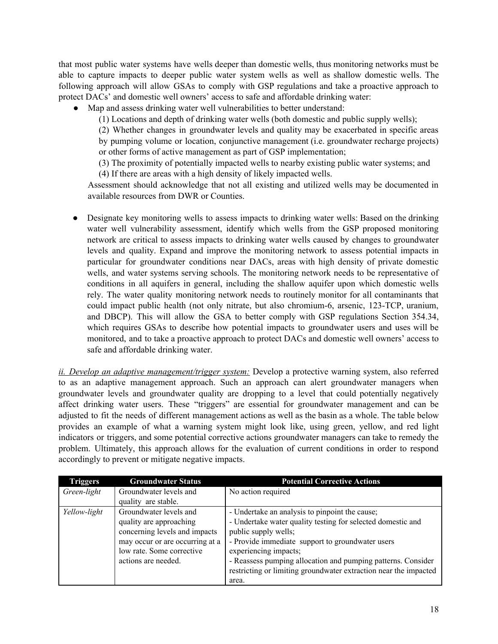that most public water systems have wells deeper than domestic wells, thus monitoring networks must be able to capture impacts to deeper public water system wells as well as shallow domestic wells. The following approach will allow GSAs to comply with GSP regulations and take a proactive approach to protect DACs' and domestic well owners' access to safe and affordable drinking water:

● Map and assess drinking water well vulnerabilities to better understand:

(1) Locations and depth of drinking water wells (both domestic and public supply wells);

(2) Whether changes in groundwater levels and quality may be exacerbated in specific areas by pumping volume or location, conjunctive management (i.e. groundwater recharge projects) or other forms of active management as part of GSP implementation;

(3) The proximity of potentially impacted wells to nearby existing public water systems; and (4) If there are areas with a high density of likely impacted wells.

Assessment should acknowledge that not all existing and utilized wells may be documented in available resources from DWR or Counties.

• Designate key monitoring wells to assess impacts to drinking water wells: Based on the drinking water well vulnerability assessment, identify which wells from the GSP proposed monitoring network are critical to assess impacts to drinking water wells caused by changes to groundwater levels and quality. Expand and improve the monitoring network to assess potential impacts in particular for groundwater conditions near DACs, areas with high density of private domestic wells, and water systems serving schools. The monitoring network needs to be representative of conditions in all aquifers in general, including the shallow aquifer upon which domestic wells rely. The water quality monitoring network needs to routinely monitor for all contaminants that could impact public health (not only nitrate, but also chromium-6, arsenic, 123-TCP, uranium, and DBCP). This will allow the GSA to better comply with GSP regulations Section 354.34, which requires GSAs to describe how potential impacts to groundwater users and uses will be monitored, and to take a proactive approach to protect DACs and domestic well owners' access to safe and affordable drinking water.

*ii. Develop an adaptive management/trigger system:* Develop a protective warning system, also referred to as an adaptive management approach. Such an approach can alert groundwater managers when groundwater levels and groundwater quality are dropping to a level that could potentially negatively affect drinking water users. These "triggers" are essential for groundwater management and can be adjusted to fit the needs of different management actions as well as the basin as a whole. The table below provides an example of what a warning system might look like, using green, yellow, and red light indicators or triggers, and some potential corrective actions groundwater managers can take to remedy the problem. Ultimately, this approach allows for the evaluation of current conditions in order to respond accordingly to prevent or mitigate negative impacts.

| <b>Triggers</b> | <b>Groundwater Status</b>       | <b>Potential Corrective Actions</b>                              |
|-----------------|---------------------------------|------------------------------------------------------------------|
| Green-light     | Groundwater levels and          | No action required                                               |
|                 | quality are stable.             |                                                                  |
| Yellow-light    | Groundwater levels and          | - Undertake an analysis to pinpoint the cause;                   |
|                 | quality are approaching         | - Undertake water quality testing for selected domestic and      |
|                 | concerning levels and impacts   | public supply wells;                                             |
|                 | may occur or are occurring at a | - Provide immediate support to groundwater users                 |
|                 | low rate. Some corrective       | experiencing impacts;                                            |
|                 | actions are needed.             | - Reassess pumping allocation and pumping patterns. Consider     |
|                 |                                 | restricting or limiting groundwater extraction near the impacted |
|                 |                                 | area.                                                            |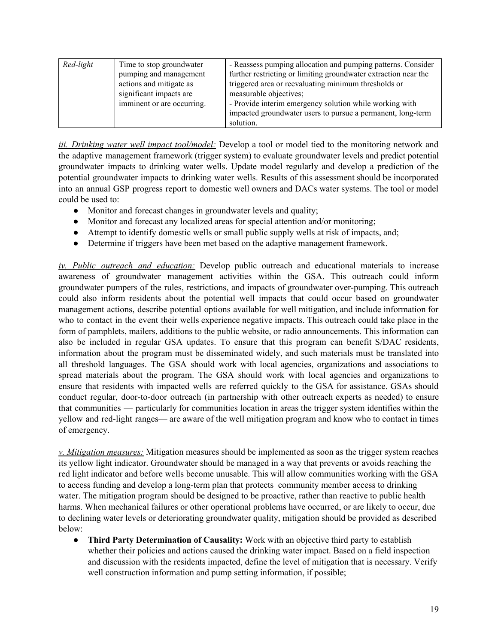| Red-light | Time to stop groundwater<br>pumping and management<br>actions and mitigate as<br>significant impacts are<br>imminent or are occurring. | - Reassess pumping allocation and pumping patterns. Consider<br>further restricting or limiting groundwater extraction near the<br>triggered area or reevaluating minimum thresholds or<br>measurable objectives;<br>- Provide interim emergency solution while working with<br>impacted groundwater users to pursue a permanent, long-term<br>solution. |
|-----------|----------------------------------------------------------------------------------------------------------------------------------------|----------------------------------------------------------------------------------------------------------------------------------------------------------------------------------------------------------------------------------------------------------------------------------------------------------------------------------------------------------|
|-----------|----------------------------------------------------------------------------------------------------------------------------------------|----------------------------------------------------------------------------------------------------------------------------------------------------------------------------------------------------------------------------------------------------------------------------------------------------------------------------------------------------------|

*iii. Drinking water well impact tool/model:* Develop a tool or model tied to the monitoring network and the adaptive management framework (trigger system) to evaluate groundwater levels and predict potential groundwater impacts to drinking water wells. Update model regularly and develop a prediction of the potential groundwater impacts to drinking water wells. Results of this assessment should be incorporated into an annual GSP progress report to domestic well owners and DACs water systems. The tool or model could be used to:

- Monitor and forecast changes in groundwater levels and quality;
- Monitor and forecast any localized areas for special attention and/or monitoring;
- Attempt to identify domestic wells or small public supply wells at risk of impacts, and;
- Determine if triggers have been met based on the adaptive management framework.

*iv. Public outreach and education:* Develop public outreach and educational materials to increase awareness of groundwater management activities within the GSA. This outreach could inform groundwater pumpers of the rules, restrictions, and impacts of groundwater over-pumping. This outreach could also inform residents about the potential well impacts that could occur based on groundwater management actions, describe potential options available for well mitigation, and include information for who to contact in the event their wells experience negative impacts. This outreach could take place in the form of pamphlets, mailers, additions to the public website, or radio announcements. This information can also be included in regular GSA updates. To ensure that this program can benefit S/DAC residents, information about the program must be disseminated widely, and such materials must be translated into all threshold languages. The GSA should work with local agencies, organizations and associations to spread materials about the program. The GSA should work with local agencies and organizations to ensure that residents with impacted wells are referred quickly to the GSA for assistance. GSAs should conduct regular, door-to-door outreach (in partnership with other outreach experts as needed) to ensure that communities — particularly for communities location in areas the trigger system identifies within the yellow and red-light ranges— are aware of the well mitigation program and know who to contact in times of emergency.

*v. Mitigation measures:* Mitigation measures should be implemented as soon as the trigger system reaches its yellow light indicator. Groundwater should be managed in a way that prevents or avoids reaching the red light indicator and before wells become unusable. This will allow communities working with the GSA to access funding and develop a long-term plan that protects community member access to drinking water. The mitigation program should be designed to be proactive, rather than reactive to public health harms. When mechanical failures or other operational problems have occurred, or are likely to occur, due to declining water levels or deteriorating groundwater quality, mitigation should be provided as described below:

● **Third Party Determination of Causality:** Work with an objective third party to establish whether their policies and actions caused the drinking water impact. Based on a field inspection and discussion with the residents impacted, define the level of mitigation that is necessary. Verify well construction information and pump setting information, if possible;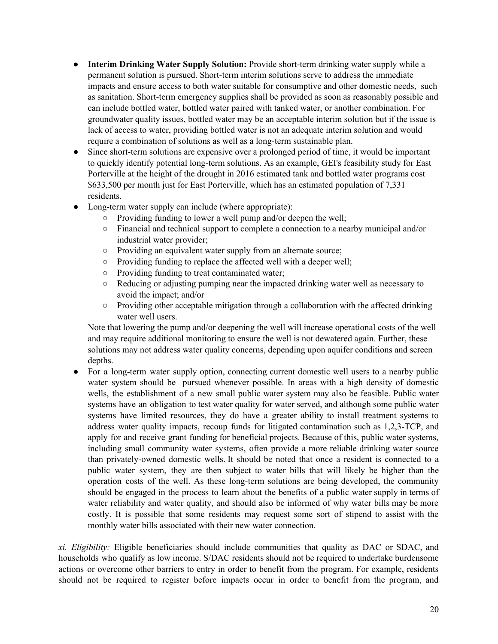- **Interim Drinking Water Supply Solution:** Provide short-term drinking water supply while a permanent solution is pursued. Short-term interim solutions serve to address the immediate impacts and ensure access to both water suitable for consumptive and other domestic needs, such as sanitation. Short-term emergency supplies shall be provided as soon as reasonably possible and can include bottled water, bottled water paired with tanked water, or another combination. For groundwater quality issues, bottled water may be an acceptable interim solution but if the issue is lack of access to water, providing bottled water is not an adequate interim solution and would require a combination of solutions as well as a long-term sustainable plan.
- Since short-term solutions are expensive over a prolonged period of time, it would be important to quickly identify potential long-term solutions. As an example, GEI's feasibility study for East Porterville at the height of the drought in 2016 estimated tank and bottled water programs cost \$633,500 per month just for East Porterville, which has an estimated population of 7,331 residents.
- Long-term water supply can include (where appropriate):
	- Providing funding to lower a well pump and/or deepen the well;
	- Financial and technical support to complete a connection to a nearby municipal and/or industrial water provider;
	- Providing an equivalent water supply from an alternate source;
	- Providing funding to replace the affected well with a deeper well;
	- Providing funding to treat contaminated water;
	- Reducing or adjusting pumping near the impacted drinking water well as necessary to avoid the impact; and/or
	- Providing other acceptable mitigation through a collaboration with the affected drinking water well users.

Note that lowering the pump and/or deepening the well will increase operational costs of the well and may require additional monitoring to ensure the well is not dewatered again. Further, these solutions may not address water quality concerns, depending upon aquifer conditions and screen depths.

• For a long-term water supply option, connecting current domestic well users to a nearby public water system should be pursued whenever possible. In areas with a high density of domestic wells, the establishment of a new small public water system may also be feasible. Public water systems have an obligation to test water quality for water served, and although some public water systems have limited resources, they do have a greater ability to install treatment systems to address water quality impacts, recoup funds for litigated contamination such as 1,2,3-TCP, and apply for and receive grant funding for beneficial projects. Because of this, public water systems, including small community water systems, often provide a more reliable drinking water source than privately-owned domestic wells. It should be noted that once a resident is connected to a public water system, they are then subject to water bills that will likely be higher than the operation costs of the well. As these long-term solutions are being developed, the community should be engaged in the process to learn about the benefits of a public water supply in terms of water reliability and water quality, and should also be informed of why water bills may be more costly. It is possible that some residents may request some sort of stipend to assist with the monthly water bills associated with their new water connection.

*xi. Eligibility:* Eligible beneficiaries should include communities that quality as DAC or SDAC, and households who qualify as low income. S/DAC residents should not be required to undertake burdensome actions or overcome other barriers to entry in order to benefit from the program. For example, residents should not be required to register before impacts occur in order to benefit from the program, and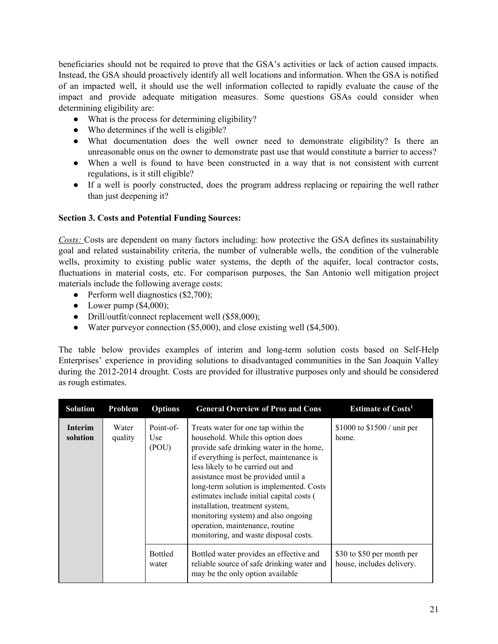beneficiaries should not be required to prove that the GSA's activities or lack of action caused impacts. Instead, the GSA should proactively identify all well locations and information. When the GSA is notified of an impacted well, it should use the well information collected to rapidly evaluate the cause of the impact and provide adequate mitigation measures. Some questions GSAs could consider when determining eligibility are:

- What is the process for determining eligibility?
- Who determines if the well is eligible?
- What documentation does the well owner need to demonstrate eligibility? Is there an unreasonable onus on the owner to demonstrate past use that would constitute a barrier to access?
- When a well is found to have been constructed in a way that is not consistent with current regulations, is it still eligible?
- If a well is poorly constructed, does the program address replacing or repairing the well rather than just deepening it?

### **Section 3. Costs and Potential Funding Sources:**

*Costs:* Costs are dependent on many factors including: how protective the GSA defines its sustainability goal and related sustainability criteria, the number of vulnerable wells, the condition of the vulnerable wells, proximity to existing public water systems, the depth of the aquifer, local contractor costs, fluctuations in material costs, etc. For comparison purposes, the San Antonio well mitigation project materials include the following average costs:

- Perform well diagnostics (\$2,700);
- Lower pump  $(\$4,000)$ ;
- Drill/outfit/connect replacement well (\$58,000);
- Water purveyor connection (\$5,000), and close existing well (\$4,500).

The table below provides examples of interim and long-term solution costs based on Self-Help Enterprises' experience in providing solutions to disadvantaged communities in the San Joaquin Valley during the 2012-2014 drought. Costs are provided for illustrative purposes only and should be considered as rough estimates.

| <b>Solution</b>            | Problem          | <b>Options</b>            | <b>General Overview of Pros and Cons</b>                                                                                                                                                                                                                                                                                                                                                                                                                                                    | <b>Estimate of Costs<sup>1</sup></b>                    |
|----------------------------|------------------|---------------------------|---------------------------------------------------------------------------------------------------------------------------------------------------------------------------------------------------------------------------------------------------------------------------------------------------------------------------------------------------------------------------------------------------------------------------------------------------------------------------------------------|---------------------------------------------------------|
| <b>Interim</b><br>solution | Water<br>quality | Point-of-<br>Use<br>(POU) | Treats water for one tap within the<br>household. While this option does<br>provide safe drinking water in the home,<br>if everything is perfect, maintenance is<br>less likely to be carried out and<br>assistance must be provided until a<br>long-term solution is implemented. Costs<br>estimates include initial capital costs (<br>installation, treatment system,<br>monitoring system) and also ongoing<br>operation, maintenance, routine<br>monitoring, and waste disposal costs. | \$1000 to $$1500 /$ unit per<br>home.                   |
|                            |                  | <b>Bottled</b><br>water   | Bottled water provides an effective and<br>reliable source of safe drinking water and<br>may be the only option available                                                                                                                                                                                                                                                                                                                                                                   | \$30 to \$50 per month per<br>house, includes delivery. |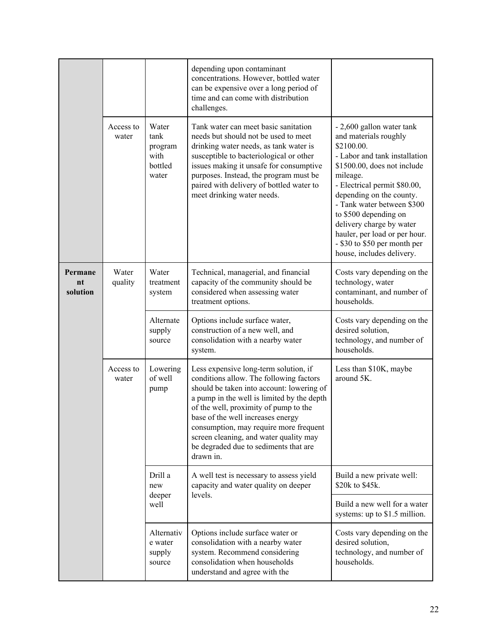|                           |                    |                                                      | depending upon contaminant<br>concentrations. However, bottled water<br>can be expensive over a long period of<br>time and can come with distribution<br>challenges.                                                                                                                                                                                                                                |                                                                                                                                                                                                                                                                                                                                                                                           |
|---------------------------|--------------------|------------------------------------------------------|-----------------------------------------------------------------------------------------------------------------------------------------------------------------------------------------------------------------------------------------------------------------------------------------------------------------------------------------------------------------------------------------------------|-------------------------------------------------------------------------------------------------------------------------------------------------------------------------------------------------------------------------------------------------------------------------------------------------------------------------------------------------------------------------------------------|
|                           | Access to<br>water | Water<br>tank<br>program<br>with<br>bottled<br>water | Tank water can meet basic sanitation<br>needs but should not be used to meet<br>drinking water needs, as tank water is<br>susceptible to bacteriological or other<br>issues making it unsafe for consumptive<br>purposes. Instead, the program must be<br>paired with delivery of bottled water to<br>meet drinking water needs.                                                                    | - 2,600 gallon water tank<br>and materials roughly<br>\$2100.00.<br>- Labor and tank installation<br>\$1500.00, does not include<br>mileage.<br>- Electrical permit \$80.00,<br>depending on the county.<br>- Tank water between \$300<br>to \$500 depending on<br>delivery charge by water<br>hauler, per load or per hour.<br>- \$30 to \$50 per month per<br>house, includes delivery. |
| Permane<br>nt<br>solution | Water<br>quality   | Water<br>treatment<br>system                         | Technical, managerial, and financial<br>capacity of the community should be<br>considered when assessing water<br>treatment options.                                                                                                                                                                                                                                                                | Costs vary depending on the<br>technology, water<br>contaminant, and number of<br>households.                                                                                                                                                                                                                                                                                             |
|                           |                    | Alternate<br>supply<br>source                        | Options include surface water,<br>construction of a new well, and<br>consolidation with a nearby water<br>system.                                                                                                                                                                                                                                                                                   | Costs vary depending on the<br>desired solution,<br>technology, and number of<br>households.                                                                                                                                                                                                                                                                                              |
|                           | Access to<br>water | Lowering<br>of well<br>pump                          | Less expensive long-term solution, if<br>conditions allow. The following factors<br>should be taken into account: lowering of<br>a pump in the well is limited by the depth<br>of the well, proximity of pump to the<br>base of the well increases energy<br>consumption, may require more frequent<br>screen cleaning, and water quality may<br>be degraded due to sediments that are<br>drawn in. | Less than \$10K, maybe<br>around 5K.                                                                                                                                                                                                                                                                                                                                                      |
|                           |                    | Drill a<br>new<br>deeper<br>well                     | A well test is necessary to assess yield<br>capacity and water quality on deeper<br>levels.                                                                                                                                                                                                                                                                                                         | Build a new private well:<br>\$20k to \$45k.                                                                                                                                                                                                                                                                                                                                              |
|                           |                    |                                                      |                                                                                                                                                                                                                                                                                                                                                                                                     | Build a new well for a water<br>systems: up to \$1.5 million.                                                                                                                                                                                                                                                                                                                             |
|                           |                    | Alternativ<br>e water<br>supply<br>source            | Options include surface water or<br>consolidation with a nearby water<br>system. Recommend considering<br>consolidation when households<br>understand and agree with the                                                                                                                                                                                                                            | Costs vary depending on the<br>desired solution,<br>technology, and number of<br>households.                                                                                                                                                                                                                                                                                              |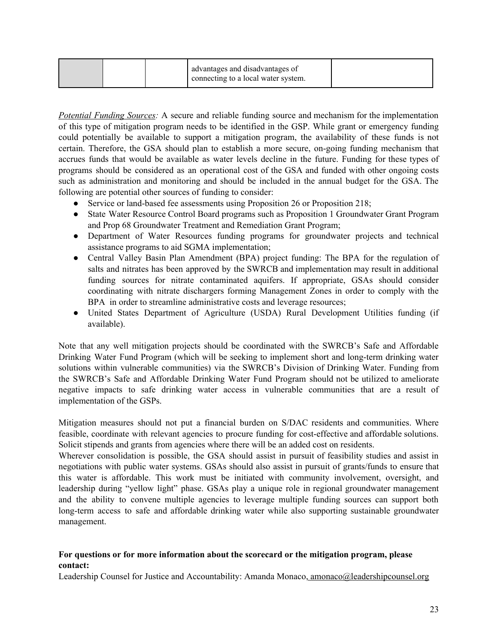| advantages and disadvantages of<br>connecting to a local water system. |  |
|------------------------------------------------------------------------|--|
|------------------------------------------------------------------------|--|

*Potential Funding Sources:* A secure and reliable funding source and mechanism for the implementation of this type of mitigation program needs to be identified in the GSP. While grant or emergency funding could potentially be available to support a mitigation program, the availability of these funds is not certain. Therefore, the GSA should plan to establish a more secure, on-going funding mechanism that accrues funds that would be available as water levels decline in the future. Funding for these types of programs should be considered as an operational cost of the GSA and funded with other ongoing costs such as administration and monitoring and should be included in the annual budget for the GSA. The following are potential other sources of funding to consider:

- Service or land-based fee assessments using Proposition 26 or Proposition 218;
- State Water Resource Control Board programs such as Proposition 1 Groundwater Grant Program and Prop 68 Groundwater Treatment and Remediation Grant Program;
- Department of Water Resources funding programs for groundwater projects and technical assistance programs to aid SGMA implementation;
- Central Valley Basin Plan Amendment (BPA) project funding: The BPA for the regulation of salts and nitrates has been approved by the SWRCB and implementation may result in additional funding sources for nitrate contaminated aquifers. If appropriate, GSAs should consider coordinating with nitrate dischargers forming Management Zones in order to comply with the BPA in order to streamline administrative costs and leverage resources;
- United States Department of Agriculture (USDA) Rural Development Utilities funding (if available).

Note that any well mitigation projects should be coordinated with the SWRCB's Safe and Affordable Drinking Water Fund Program (which will be seeking to implement short and long-term drinking water solutions within vulnerable communities) via the SWRCB's Division of Drinking Water. Funding from the SWRCB's Safe and Affordable Drinking Water Fund Program should not be utilized to ameliorate negative impacts to safe drinking water access in vulnerable communities that are a result of implementation of the GSPs.

Mitigation measures should not put a financial burden on S/DAC residents and communities. Where feasible, coordinate with relevant agencies to procure funding for cost-effective and affordable solutions. Solicit stipends and grants from agencies where there will be an added cost on residents.

Wherever consolidation is possible, the GSA should assist in pursuit of feasibility studies and assist in negotiations with public water systems. GSAs should also assist in pursuit of grants/funds to ensure that this water is affordable. This work must be initiated with community involvement, oversight, and leadership during "yellow light" phase. GSAs play a unique role in regional groundwater management and the ability to convene multiple agencies to leverage multiple funding sources can support both long-term access to safe and affordable drinking water while also supporting sustainable groundwater management.

### **For questions or for more information about the scorecard or the mitigation program, please contact:**

Leadership Counsel for Justice and Accountability: Amanda Monaco, amonaco@leadershipcounsel.org